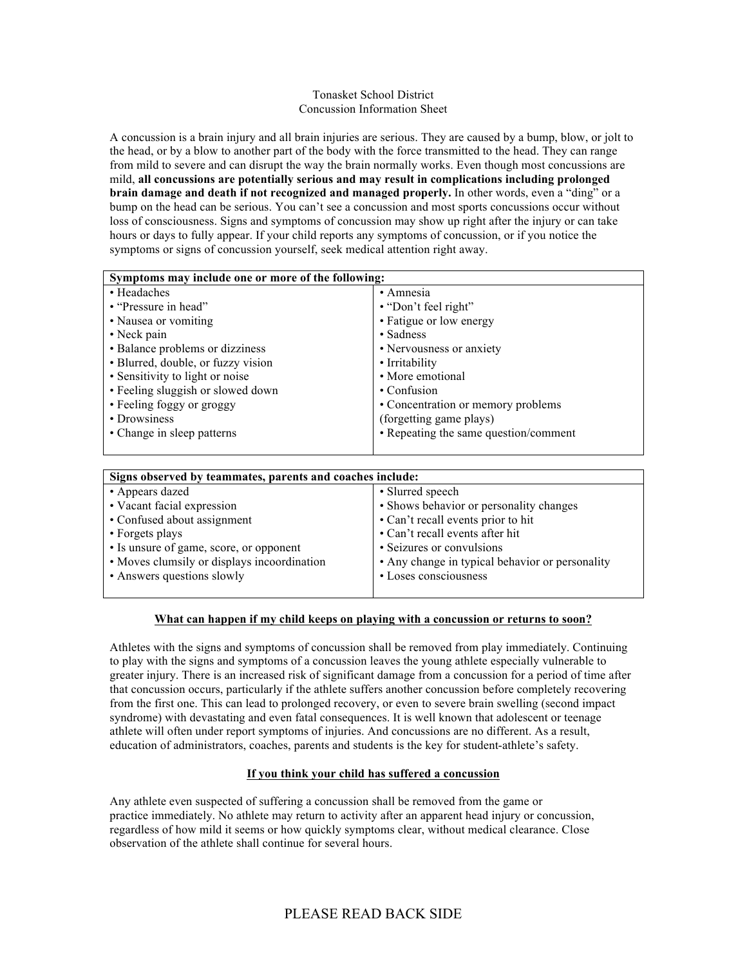#### Tonasket School District Concussion Information Sheet

A concussion is a brain injury and all brain injuries are serious. They are caused by a bump, blow, or jolt to the head, or by a blow to another part of the body with the force transmitted to the head. They can range from mild to severe and can disrupt the way the brain normally works. Even though most concussions are mild, **all concussions are potentially serious and may result in complications including prolonged brain damage and death if not recognized and managed properly.** In other words, even a "ding" or a bump on the head can be serious. You can't see a concussion and most sports concussions occur without loss of consciousness. Signs and symptoms of concussion may show up right after the injury or can take hours or days to fully appear. If your child reports any symptoms of concussion, or if you notice the symptoms or signs of concussion yourself, seek medical attention right away.

| Symptoms may include one or more of the following: |                                       |
|----------------------------------------------------|---------------------------------------|
| • Headaches                                        | • Amnesia                             |
| • "Pressure in head"                               | • "Don't feel right"                  |
| • Nausea or vomiting                               | • Fatigue or low energy               |
| $\cdot$ Neck pain                                  | • Sadness                             |
| • Balance problems or dizziness                    | • Nervousness or anxiety              |
| • Blurred, double, or fuzzy vision                 | • Irritability                        |
| • Sensitivity to light or noise                    | • More emotional                      |
| • Feeling sluggish or slowed down                  | $\cdot$ Confusion                     |
| • Feeling foggy or groggy                          | • Concentration or memory problems    |
| • Drowsiness                                       | (forgetting game plays)               |
| • Change in sleep patterns                         | • Repeating the same question/comment |
|                                                    |                                       |

| Signs observed by teammates, parents and coaches include: |                                                 |
|-----------------------------------------------------------|-------------------------------------------------|
| • Appears dazed                                           | • Slurred speech                                |
| • Vacant facial expression                                | • Shows behavior or personality changes         |
| • Confused about assignment                               | • Can't recall events prior to hit              |
| • Forgets plays                                           | • Can't recall events after hit                 |
| • Is unsure of game, score, or opponent                   | • Seizures or convulsions                       |
| • Moves clumsily or displays incoordination               | • Any change in typical behavior or personality |
| • Answers questions slowly                                | • Loses consciousness                           |
|                                                           |                                                 |

### **What can happen if my child keeps on playing with a concussion or returns to soon?**

Athletes with the signs and symptoms of concussion shall be removed from play immediately. Continuing to play with the signs and symptoms of a concussion leaves the young athlete especially vulnerable to greater injury. There is an increased risk of significant damage from a concussion for a period of time after that concussion occurs, particularly if the athlete suffers another concussion before completely recovering from the first one. This can lead to prolonged recovery, or even to severe brain swelling (second impact syndrome) with devastating and even fatal consequences. It is well known that adolescent or teenage athlete will often under report symptoms of injuries. And concussions are no different. As a result, education of administrators, coaches, parents and students is the key for student-athlete's safety.

#### **If you think your child has suffered a concussion**

Any athlete even suspected of suffering a concussion shall be removed from the game or practice immediately. No athlete may return to activity after an apparent head injury or concussion, regardless of how mild it seems or how quickly symptoms clear, without medical clearance. Close observation of the athlete shall continue for several hours.

# PLEASE READ BACK SIDE